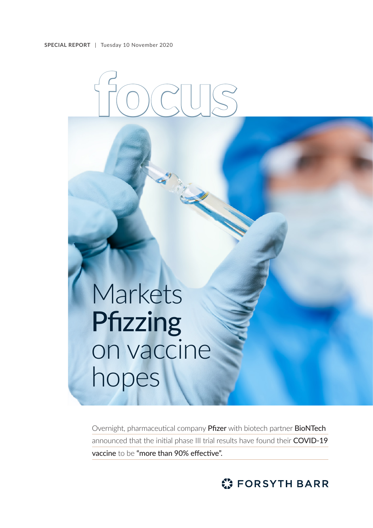

# Markets Pfizzing on vaccine hopes

Overnight, pharmaceutical company Pfizer with biotech partner BioNTech announced that the initial phase III trial results have found their COVID-19 vaccine to be "more than 90% effective".

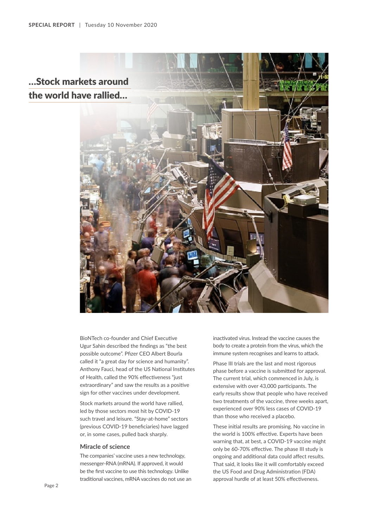

BioNTech co-founder and Chief Executive Ugur Sahin described the findings as "the best possible outcome". Pfizer CEO Albert Bourla called it "a great day for science and humanity". Anthony Fauci, head of the US National Institutes of Health, called the 90% effectiveness "just extraordinary" and saw the results as a positive sign for other vaccines under development.

Stock markets around the world have rallied, led by those sectors most hit by COVID-19 such travel and leisure. "Stay-at-home" sectors (previous COVID-19 beneficiaries) have lagged or, in some cases, pulled back sharply.

#### **Miracle of science**

The companies' vaccine uses a new technology, messenger-RNA (mRNA). If approved, it would be the first vaccine to use this technology. Unlike traditional vaccines, mRNA vaccines do not use an

inactivated virus. Instead the vaccine causes the body to create a protein from the virus, which the immune system recognises and learns to attack.

Phase III trials are the last and most rigorous phase before a vaccine is submitted for approval. The current trial, which commenced in July, is extensive with over 43,000 participants. The early results show that people who have received two treatments of the vaccine, three weeks apart, experienced over 90% less cases of COVID-19 than those who received a placebo.

These initial results are promising. No vaccine in the world is 100% effective. Experts have been warning that, at best, a COVID-19 vaccine might only be 60-70% effective. The phase III study is ongoing and additional data could affect results. That said, it looks like it will comfortably exceed the US Food and Drug Administration (FDA) approval hurdle of at least 50% effectiveness.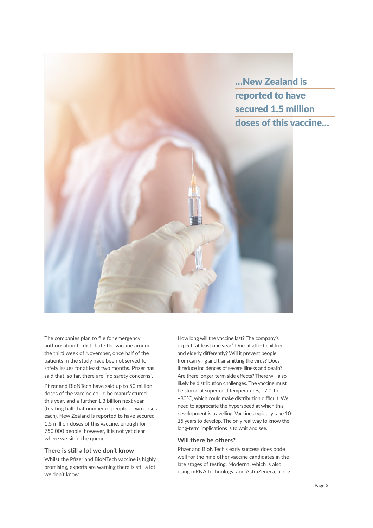

The companies plan to file for emergency authorisation to distribute the vaccine around the third week of November, once half of the patients in the study have been observed for safety issues for at least two months. Pfizer has said that, so far, there are "no safety concerns".

Pfizer and BioNTech have said up to 50 million doses of the vaccine could be manufactured this year, and a further 1.3 billion next year (treating half that number of people – two doses each). New Zealand is reported to have secured 1.5 million doses of this vaccine, enough for 750,000 people, however, it is not yet clear where we sit in the queue.

# **There is still a lot we don't know**

Whilst the Pfizer and BioNTech vaccine is highly promising, experts are warning there is still a lot we don't know.

How long will the vaccine last? The company's expect "at least one year". Does it affect children and elderly differently? Will it prevent people from carrying and transmitting the virus? Does it reduce incidences of severe illness and death? Are there longer-term side effects? There will also likely be distribution challenges. The vaccine must be stored at super-cold temperatures, –70° to –80°C, which could make distribution difficult. We need to appreciate the hyperspeed at which this development is travelling. Vaccines typically take 10- 15 years to develop. The only real way to know the long-term implications is to wait and see.

## **Will there be others?**

Pfizer and BioNTech's early success does bode well for the nine other vaccine candidates in the late stages of testing. Moderna, which is also using mRNA technology, and AstraZeneca, along